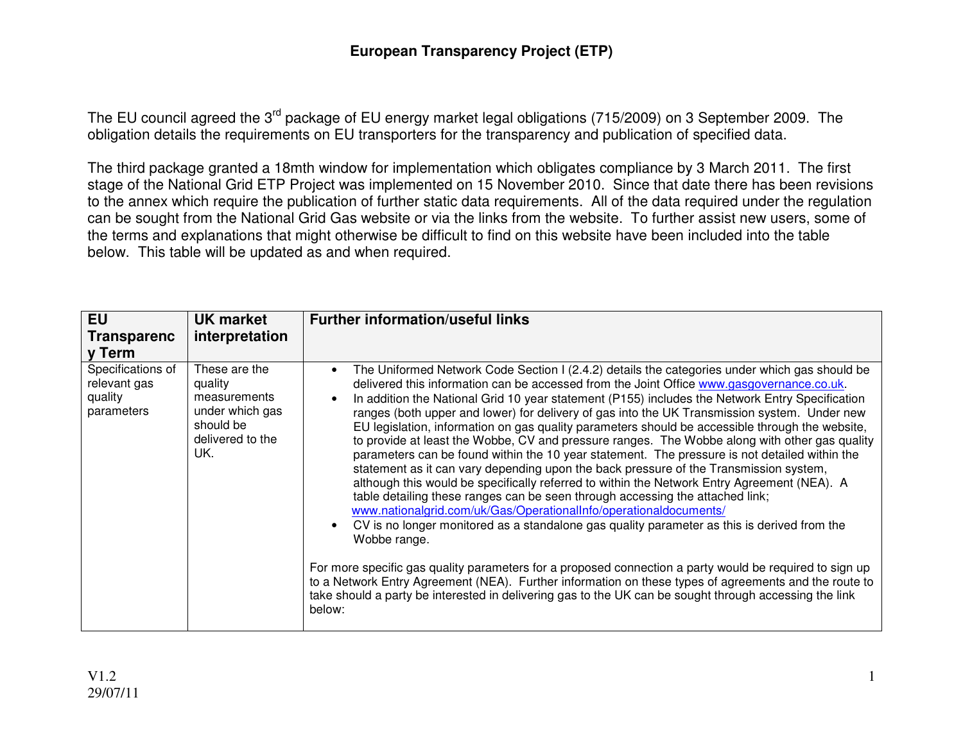The EU council agreed the 3<sup>rd</sup> package of EU energy market legal obligations (715/2009) on 3 September 2009. The obligation details the requirements on EU transporters for the transparency and publication of specified data.

The third package granted a 18mth window for implementation which obligates compliance by 3 March 2011. The first stage of the National Grid ETP Project was implemented on 15 November 2010. Since that date there has been revisions to the annex which require the publication of further static data requirements. All of the data required under the regulation can be sought from the National Grid Gas website or via the links from the website. To further assist new users, some of the terms and explanations that might otherwise be difficult to find on this website have been included into the table below. This table will be updated as and when required.

| <b>EU</b><br><b>Transparenc</b><br>v Term                  | <b>UK market</b><br>interpretation                                                                  | <b>Further information/useful links</b>                                                                                                                                                                                                                                                                                                                                                                                                                                                                                                                                                                                                                                                                                                                                                                                                                                                                                                                                                                                                                                                                                                                                      |
|------------------------------------------------------------|-----------------------------------------------------------------------------------------------------|------------------------------------------------------------------------------------------------------------------------------------------------------------------------------------------------------------------------------------------------------------------------------------------------------------------------------------------------------------------------------------------------------------------------------------------------------------------------------------------------------------------------------------------------------------------------------------------------------------------------------------------------------------------------------------------------------------------------------------------------------------------------------------------------------------------------------------------------------------------------------------------------------------------------------------------------------------------------------------------------------------------------------------------------------------------------------------------------------------------------------------------------------------------------------|
| Specifications of<br>relevant gas<br>quality<br>parameters | These are the<br>quality<br>measurements<br>under which gas<br>should be<br>delivered to the<br>UK. | The Uniformed Network Code Section I (2.4.2) details the categories under which gas should be<br>$\bullet$<br>delivered this information can be accessed from the Joint Office www.gasgovernance.co.uk.<br>In addition the National Grid 10 year statement (P155) includes the Network Entry Specification<br>ranges (both upper and lower) for delivery of gas into the UK Transmission system. Under new<br>EU legislation, information on gas quality parameters should be accessible through the website,<br>to provide at least the Wobbe, CV and pressure ranges. The Wobbe along with other gas quality<br>parameters can be found within the 10 year statement. The pressure is not detailed within the<br>statement as it can vary depending upon the back pressure of the Transmission system,<br>although this would be specifically referred to within the Network Entry Agreement (NEA). A<br>table detailing these ranges can be seen through accessing the attached link;<br>www.nationalgrid.com/uk/Gas/OperationalInfo/operationaldocuments/<br>CV is no longer monitored as a standalone gas quality parameter as this is derived from the<br>Wobbe range. |
|                                                            |                                                                                                     | For more specific gas quality parameters for a proposed connection a party would be required to sign up<br>to a Network Entry Agreement (NEA). Further information on these types of agreements and the route to<br>take should a party be interested in delivering gas to the UK can be sought through accessing the link<br>below:                                                                                                                                                                                                                                                                                                                                                                                                                                                                                                                                                                                                                                                                                                                                                                                                                                         |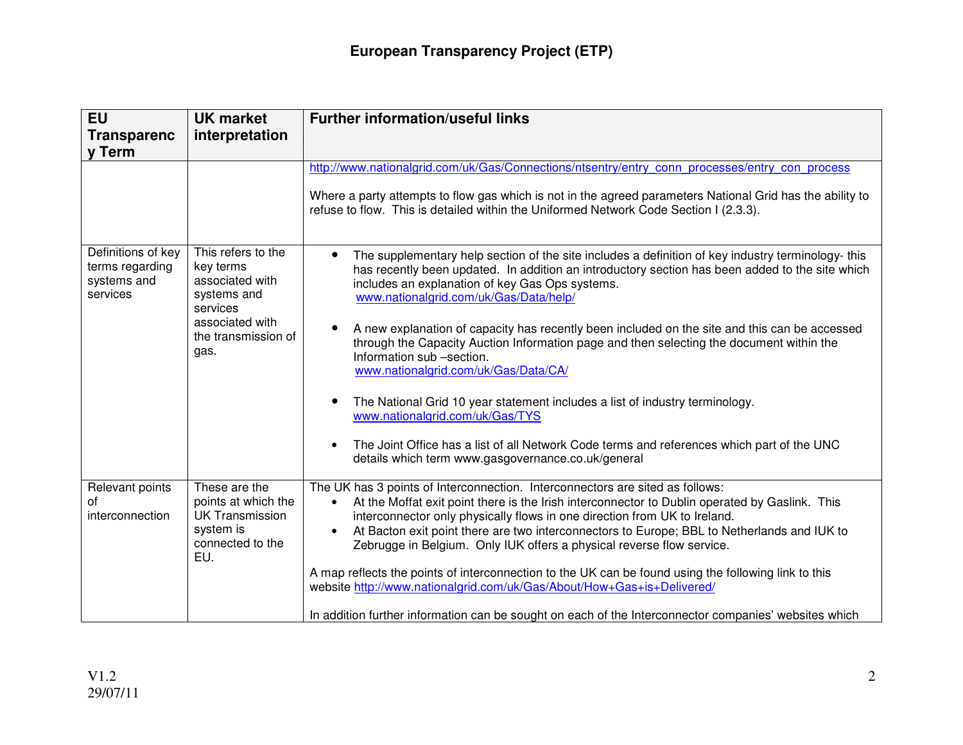| <b>EU</b>                                                        | <b>UK market</b>                                                                                                                | <b>Further information/useful links</b>                                                                                                                                                                                                                                                                                                                                                                                              |
|------------------------------------------------------------------|---------------------------------------------------------------------------------------------------------------------------------|--------------------------------------------------------------------------------------------------------------------------------------------------------------------------------------------------------------------------------------------------------------------------------------------------------------------------------------------------------------------------------------------------------------------------------------|
| <b>Transparenc</b>                                               | interpretation                                                                                                                  |                                                                                                                                                                                                                                                                                                                                                                                                                                      |
| v Term                                                           |                                                                                                                                 |                                                                                                                                                                                                                                                                                                                                                                                                                                      |
|                                                                  |                                                                                                                                 | http://www.nationalgrid.com/uk/Gas/Connections/ntsentry/entry_conn_processes/entry_con_process                                                                                                                                                                                                                                                                                                                                       |
|                                                                  |                                                                                                                                 | Where a party attempts to flow gas which is not in the agreed parameters National Grid has the ability to<br>refuse to flow. This is detailed within the Uniformed Network Code Section I (2.3.3).                                                                                                                                                                                                                                   |
| Definitions of key<br>terms regarding<br>systems and<br>services | This refers to the<br>key terms<br>associated with<br>systems and<br>services<br>associated with<br>the transmission of<br>gas. | The supplementary help section of the site includes a definition of key industry terminology- this<br>has recently been updated. In addition an introductory section has been added to the site which<br>includes an explanation of key Gas Ops systems.<br>www.nationalgrid.com/uk/Gas/Data/help/                                                                                                                                   |
|                                                                  |                                                                                                                                 | A new explanation of capacity has recently been included on the site and this can be accessed<br>through the Capacity Auction Information page and then selecting the document within the<br>Information sub -section.<br>www.nationalgrid.com/uk/Gas/Data/CA/                                                                                                                                                                       |
|                                                                  |                                                                                                                                 | The National Grid 10 year statement includes a list of industry terminology.<br>www.nationalgrid.com/uk/Gas/TYS                                                                                                                                                                                                                                                                                                                      |
|                                                                  |                                                                                                                                 | The Joint Office has a list of all Network Code terms and references which part of the UNC<br>details which term www.gasgovernance.co.uk/general                                                                                                                                                                                                                                                                                     |
| Relevant points<br>οf<br>interconnection                         | These are the<br>points at which the<br><b>UK Transmission</b><br>system is<br>connected to the<br>EU.                          | The UK has 3 points of Interconnection. Interconnectors are sited as follows:<br>At the Moffat exit point there is the Irish interconnector to Dublin operated by Gaslink. This<br>interconnector only physically flows in one direction from UK to Ireland.<br>At Bacton exit point there are two interconnectors to Europe; BBL to Netherlands and IUK to<br>Zebrugge in Belgium. Only IUK offers a physical reverse flow service. |
|                                                                  |                                                                                                                                 | A map reflects the points of interconnection to the UK can be found using the following link to this<br>website http://www.nationalgrid.com/uk/Gas/About/How+Gas+is+Delivered/                                                                                                                                                                                                                                                       |
|                                                                  |                                                                                                                                 | In addition further information can be sought on each of the Interconnector companies' websites which                                                                                                                                                                                                                                                                                                                                |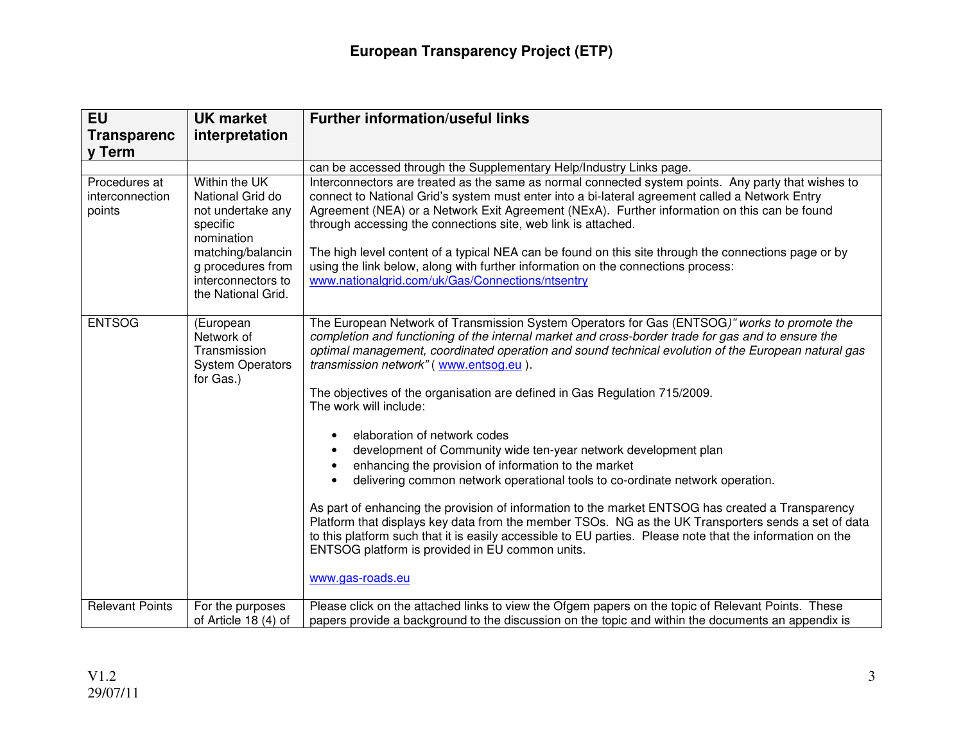| <b>EU</b>                                  | <b>UK market</b>                                                                                                                                                       | <b>Further information/useful links</b>                                                                                                                                                                                                                                                                                                                                                                                                                                                                                                                                                                                                                                                                                                                                                                                                                                                                                                                                                                                                                                                                                                        |
|--------------------------------------------|------------------------------------------------------------------------------------------------------------------------------------------------------------------------|------------------------------------------------------------------------------------------------------------------------------------------------------------------------------------------------------------------------------------------------------------------------------------------------------------------------------------------------------------------------------------------------------------------------------------------------------------------------------------------------------------------------------------------------------------------------------------------------------------------------------------------------------------------------------------------------------------------------------------------------------------------------------------------------------------------------------------------------------------------------------------------------------------------------------------------------------------------------------------------------------------------------------------------------------------------------------------------------------------------------------------------------|
| <b>Transparenc</b>                         | interpretation                                                                                                                                                         |                                                                                                                                                                                                                                                                                                                                                                                                                                                                                                                                                                                                                                                                                                                                                                                                                                                                                                                                                                                                                                                                                                                                                |
| <b>v</b> Term                              |                                                                                                                                                                        |                                                                                                                                                                                                                                                                                                                                                                                                                                                                                                                                                                                                                                                                                                                                                                                                                                                                                                                                                                                                                                                                                                                                                |
|                                            |                                                                                                                                                                        | can be accessed through the Supplementary Help/Industry Links page.                                                                                                                                                                                                                                                                                                                                                                                                                                                                                                                                                                                                                                                                                                                                                                                                                                                                                                                                                                                                                                                                            |
| Procedures at<br>interconnection<br>points | Within the UK<br>National Grid do<br>not undertake any<br>specific<br>nomination<br>matching/balancin<br>g procedures from<br>interconnectors to<br>the National Grid. | Interconnectors are treated as the same as normal connected system points. Any party that wishes to<br>connect to National Grid's system must enter into a bi-lateral agreement called a Network Entry<br>Agreement (NEA) or a Network Exit Agreement (NExA). Further information on this can be found<br>through accessing the connections site, web link is attached.<br>The high level content of a typical NEA can be found on this site through the connections page or by<br>using the link below, along with further information on the connections process:<br>www.nationalgrid.com/uk/Gas/Connections/ntsentry                                                                                                                                                                                                                                                                                                                                                                                                                                                                                                                        |
| <b>ENTSOG</b>                              | (European<br>Network of<br>Transmission<br><b>System Operators</b><br>for Gas.)                                                                                        | The European Network of Transmission System Operators for Gas (ENTSOG)" works to promote the<br>completion and functioning of the internal market and cross-border trade for gas and to ensure the<br>optimal management, coordinated operation and sound technical evolution of the European natural gas<br>transmission network" (www.entsog.eu).<br>The objectives of the organisation are defined in Gas Regulation 715/2009.<br>The work will include:<br>elaboration of network codes<br>$\bullet$<br>development of Community wide ten-year network development plan<br>enhancing the provision of information to the market<br>$\bullet$<br>delivering common network operational tools to co-ordinate network operation.<br>$\bullet$<br>As part of enhancing the provision of information to the market ENTSOG has created a Transparency<br>Platform that displays key data from the member TSOs. NG as the UK Transporters sends a set of data<br>to this platform such that it is easily accessible to EU parties. Please note that the information on the<br>ENTSOG platform is provided in EU common units.<br>www.gas-roads.eu |
| <b>Relevant Points</b>                     | For the purposes<br>of Article 18 (4) of                                                                                                                               | Please click on the attached links to view the Ofgem papers on the topic of Relevant Points. These<br>papers provide a background to the discussion on the topic and within the documents an appendix is                                                                                                                                                                                                                                                                                                                                                                                                                                                                                                                                                                                                                                                                                                                                                                                                                                                                                                                                       |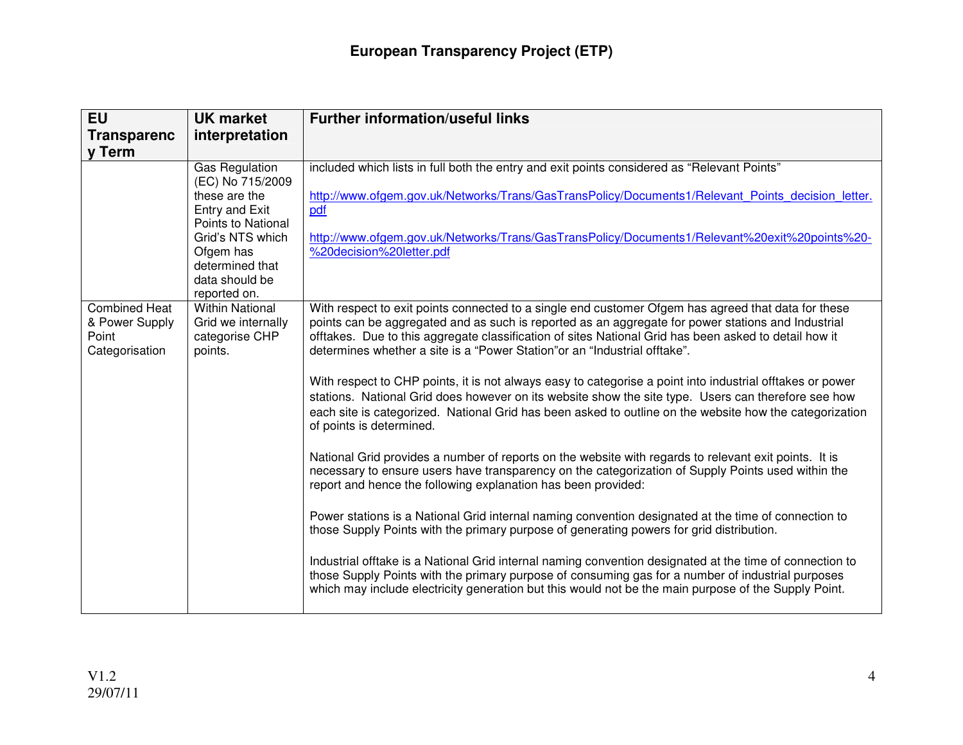| <b>EU</b><br><b>Transparenc</b>                                   | <b>UK market</b><br>interpretation                                                                                                                                                       | <b>Further information/useful links</b>                                                                                                                                                                                                                                                                                                                                                                                                                                                                                                                                                                                                                                                                                                                                                                                                                                                                                                                                                                                                                                                                                                                                                                                                         |
|-------------------------------------------------------------------|------------------------------------------------------------------------------------------------------------------------------------------------------------------------------------------|-------------------------------------------------------------------------------------------------------------------------------------------------------------------------------------------------------------------------------------------------------------------------------------------------------------------------------------------------------------------------------------------------------------------------------------------------------------------------------------------------------------------------------------------------------------------------------------------------------------------------------------------------------------------------------------------------------------------------------------------------------------------------------------------------------------------------------------------------------------------------------------------------------------------------------------------------------------------------------------------------------------------------------------------------------------------------------------------------------------------------------------------------------------------------------------------------------------------------------------------------|
| v Term                                                            |                                                                                                                                                                                          |                                                                                                                                                                                                                                                                                                                                                                                                                                                                                                                                                                                                                                                                                                                                                                                                                                                                                                                                                                                                                                                                                                                                                                                                                                                 |
|                                                                   | <b>Gas Regulation</b><br>(EC) No 715/2009<br>these are the<br>Entry and Exit<br>Points to National<br>Grid's NTS which<br>Ofgem has<br>determined that<br>data should be<br>reported on. | included which lists in full both the entry and exit points considered as "Relevant Points"<br>http://www.ofgem.gov.uk/Networks/Trans/GasTransPolicy/Documents1/Relevant Points decision letter.<br>pdf<br>http://www.ofgem.gov.uk/Networks/Trans/GasTransPolicy/Documents1/Relevant%20exit%20points%20-<br>%20decision%20letter.pdf                                                                                                                                                                                                                                                                                                                                                                                                                                                                                                                                                                                                                                                                                                                                                                                                                                                                                                            |
| <b>Combined Heat</b><br>& Power Supply<br>Point<br>Categorisation | <b>Within National</b><br>Grid we internally<br>categorise CHP<br>points.                                                                                                                | With respect to exit points connected to a single end customer Ofgem has agreed that data for these<br>points can be aggregated and as such is reported as an aggregate for power stations and Industrial<br>offtakes. Due to this aggregate classification of sites National Grid has been asked to detail how it<br>determines whether a site is a "Power Station" or an "Industrial offtake".<br>With respect to CHP points, it is not always easy to categorise a point into industrial offtakes or power<br>stations. National Grid does however on its website show the site type. Users can therefore see how<br>each site is categorized. National Grid has been asked to outline on the website how the categorization<br>of points is determined.<br>National Grid provides a number of reports on the website with regards to relevant exit points. It is<br>necessary to ensure users have transparency on the categorization of Supply Points used within the<br>report and hence the following explanation has been provided:<br>Power stations is a National Grid internal naming convention designated at the time of connection to<br>those Supply Points with the primary purpose of generating powers for grid distribution. |
|                                                                   |                                                                                                                                                                                          | Industrial offtake is a National Grid internal naming convention designated at the time of connection to<br>those Supply Points with the primary purpose of consuming gas for a number of industrial purposes<br>which may include electricity generation but this would not be the main purpose of the Supply Point.                                                                                                                                                                                                                                                                                                                                                                                                                                                                                                                                                                                                                                                                                                                                                                                                                                                                                                                           |